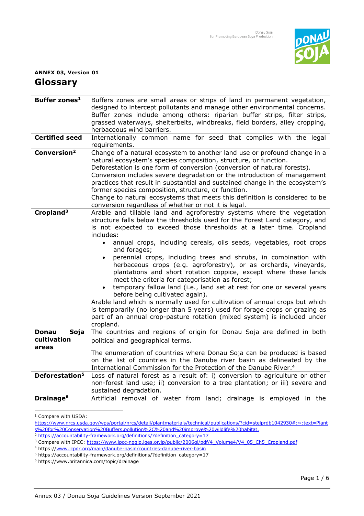

## **ANNEX 03, Version 01 Glossary**

| Buffer zones <sup>1</sup>  | Buffers zones are small areas or strips of land in permanent vegetation,<br>designed to intercept pollutants and manage other environmental concerns.<br>Buffer zones include among others: riparian buffer strips, filter strips,<br>grassed waterways, shelterbelts, windbreaks, field borders, alley cropping,<br>herbaceous wind barriers.                                                                                                                                                                                                                                                                                                                                                                                                                                                                                                                                                                                                                                                               |
|----------------------------|--------------------------------------------------------------------------------------------------------------------------------------------------------------------------------------------------------------------------------------------------------------------------------------------------------------------------------------------------------------------------------------------------------------------------------------------------------------------------------------------------------------------------------------------------------------------------------------------------------------------------------------------------------------------------------------------------------------------------------------------------------------------------------------------------------------------------------------------------------------------------------------------------------------------------------------------------------------------------------------------------------------|
| <b>Certified seed</b>      | Internationally common name for seed that complies with the legal<br>requirements.                                                                                                                                                                                                                                                                                                                                                                                                                                                                                                                                                                                                                                                                                                                                                                                                                                                                                                                           |
| Conversion <sup>2</sup>    | Change of a natural ecosystem to another land use or profound change in a<br>natural ecosystem's species composition, structure, or function.<br>Deforestation is one form of conversion (conversion of natural forests).<br>Conversion includes severe degradation or the introduction of management<br>practices that result in substantial and sustained change in the ecosystem's<br>former species composition, structure, or function.<br>Change to natural ecosystems that meets this definition is considered to be<br>conversion regardless of whether or not it is legal.                                                                                                                                                                                                                                                                                                                                                                                                                          |
| Cropland <sup>3</sup>      | Arable and tillable land and agroforestry systems where the vegetation<br>structure falls below the thresholds used for the Forest Land category, and<br>is not expected to exceed those thresholds at a later time. Cropland<br>includes:<br>annual crops, including cereals, oils seeds, vegetables, root crops<br>$\bullet$<br>and forages;<br>perennial crops, including trees and shrubs, in combination with<br>$\bullet$<br>herbaceous crops (e.g. agroforestry), or as orchards, vineyards,<br>plantations and short rotation coppice, except where these lands<br>meet the criteria for categorisation as forest;<br>temporary fallow land (i.e., land set at rest for one or several years<br>$\bullet$<br>before being cultivated again).<br>Arable land which is normally used for cultivation of annual crops but which<br>is temporarily (no longer than 5 years) used for forage crops or grazing as<br>part of an annual crop-pasture rotation (mixed system) is included under<br>cropland. |
| <b>Donau</b><br>Soja       | The countries and regions of origin for Donau Soja are defined in both                                                                                                                                                                                                                                                                                                                                                                                                                                                                                                                                                                                                                                                                                                                                                                                                                                                                                                                                       |
| cultivation                | political and geographical terms.                                                                                                                                                                                                                                                                                                                                                                                                                                                                                                                                                                                                                                                                                                                                                                                                                                                                                                                                                                            |
| areas                      | The enumeration of countries where Donau Soja can be produced is based<br>on the list of countries in the Danube river basin as delineated by the<br>International Commission for the Protection of the Danube River. <sup>4</sup>                                                                                                                                                                                                                                                                                                                                                                                                                                                                                                                                                                                                                                                                                                                                                                           |
| Deforestation <sup>5</sup> | Loss of natural forest as a result of: i) conversion to agriculture or other<br>non-forest land use; ii) conversion to a tree plantation; or iii) severe and<br>sustained degradation.                                                                                                                                                                                                                                                                                                                                                                                                                                                                                                                                                                                                                                                                                                                                                                                                                       |
| Drainage <sup>6</sup>      | land; drainage is employed<br>Artificial removal of water from<br>in the                                                                                                                                                                                                                                                                                                                                                                                                                                                                                                                                                                                                                                                                                                                                                                                                                                                                                                                                     |

1 Compare with USDA:

https://www.nrcs.usda.gov/wps/portal/nrcs/detail/plantmaterials/technical/publications/?cid=stelprdb1042930#:~:text=Plant s%20for%20Conservation%20Buffers,pollution%2C%20and%20improve%20wildlife%20habitat.

<sup>&</sup>lt;sup>2</sup> [https://accountability-framework.org/definitions/?definition\\_category=17](https://accountability-framework.org/definitions/?definition_category=17)

<sup>&</sup>lt;sup>3</sup> Compare with IPCC: [https://www.ipcc-nggip.iges.or.jp/public/2006gl/pdf/4\\_Volume4/V4\\_05\\_Ch5\\_Cropland.pdf](https://www.ipcc-nggip.iges.or.jp/public/2006gl/pdf/4_Volume4/V4_05_Ch5_Cropland.pdf)

<sup>4</sup> https:/[/www.icpdr.org/main/danube-basin/countries-danube-river-basin](http://www.icpdr.org/main/danube-basin/countries-danube-river-basin)

<sup>&</sup>lt;sup>5</sup> https://accountability-framework.org/definitions/?definition\_category=17

<sup>6</sup> https://www.britannica.com/topic/drainage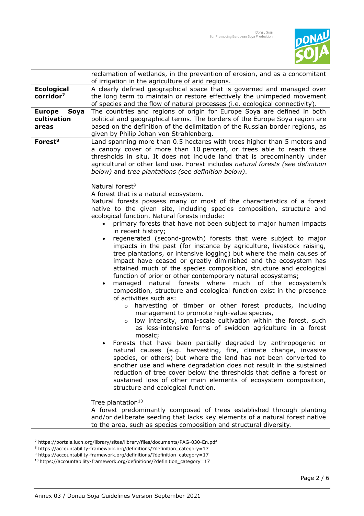

|                                               | reclamation of wetlands, in the prevention of erosion, and as a concomitant                                                                                                                                                                                                                                                                                                                                                                                                                                                                                                                                                                                                                     |
|-----------------------------------------------|-------------------------------------------------------------------------------------------------------------------------------------------------------------------------------------------------------------------------------------------------------------------------------------------------------------------------------------------------------------------------------------------------------------------------------------------------------------------------------------------------------------------------------------------------------------------------------------------------------------------------------------------------------------------------------------------------|
|                                               | of irrigation in the agriculture of arid regions.                                                                                                                                                                                                                                                                                                                                                                                                                                                                                                                                                                                                                                               |
| <b>Ecological</b><br>corridor <sup>7</sup>    | A clearly defined geographical space that is governed and managed over<br>the long term to maintain or restore effectively the unimpeded movement<br>of species and the flow of natural processes (i.e. ecological connectivity).                                                                                                                                                                                                                                                                                                                                                                                                                                                               |
| <b>Europe</b><br>Soya<br>cultivation<br>areas | The countries and regions of origin for Europe Soya are defined in both<br>political and geographical terms. The borders of the Europe Soya region are<br>based on the definition of the delimitation of the Russian border regions, as<br>given by Philip Johan von Strahlenberg.                                                                                                                                                                                                                                                                                                                                                                                                              |
| Forest <sup>8</sup>                           | Land spanning more than 0.5 hectares with trees higher than 5 meters and<br>a canopy cover of more than 10 percent, or trees able to reach these<br>thresholds in situ. It does not include land that is predominantly under<br>agricultural or other land use. Forest includes natural forests (see definition<br>below) and tree plantations (see definition below).<br>Natural forest <sup>9</sup><br>A forest that is a natural ecosystem.                                                                                                                                                                                                                                                  |
|                                               | Natural forests possess many or most of the characteristics of a forest<br>native to the given site, including species composition, structure and<br>ecological function. Natural forests include:<br>primary forests that have not been subject to major human impacts<br>$\bullet$<br>in recent history;                                                                                                                                                                                                                                                                                                                                                                                      |
|                                               | regenerated (second-growth) forests that were subject to major<br>$\bullet$<br>impacts in the past (for instance by agriculture, livestock raising,<br>tree plantations, or intensive logging) but where the main causes of<br>impact have ceased or greatly diminished and the ecosystem has<br>attained much of the species composition, structure and ecological<br>function of prior or other contemporary natural ecosystems;<br>forests<br>where<br>much of the<br>ecosystem's<br>managed<br>natural<br>$\bullet$<br>composition, structure and ecological function exist in the presence<br>of activities such as:                                                                       |
|                                               | harvesting of timber or other forest products, including<br>$\circ$<br>management to promote high-value species,<br>low intensity, small-scale cultivation within the forest, such<br>$\circ$<br>as less-intensive forms of swidden agriculture in a forest<br>mosaic;<br>Forests that have been partially degraded by anthropogenic or<br>natural causes (e.g. harvesting, fire, climate change, invasive<br>species, or others) but where the land has not been converted to<br>another use and where degradation does not result in the sustained<br>reduction of tree cover below the thresholds that define a forest or<br>sustained loss of other main elements of ecosystem composition, |
|                                               | structure and ecological function.<br>Tree plantation <sup>10</sup><br>A forest predominantly composed of trees established through planting<br>and/or deliberate seeding that lacks key elements of a natural forest native<br>to the area, such as species composition and structural diversity.                                                                                                                                                                                                                                                                                                                                                                                              |

<sup>7</sup> https://portals.iucn.org/library/sites/library/files/documents/PAG-030-En.pdf

<sup>8</sup> https://accountability-framework.org/definitions/?definition\_category=17

<sup>&</sup>lt;sup>9</sup> https://accountability-framework.org/definitions/?definition\_category=17

<sup>10</sup> https://accountability-framework.org/definitions/?definition\_category=17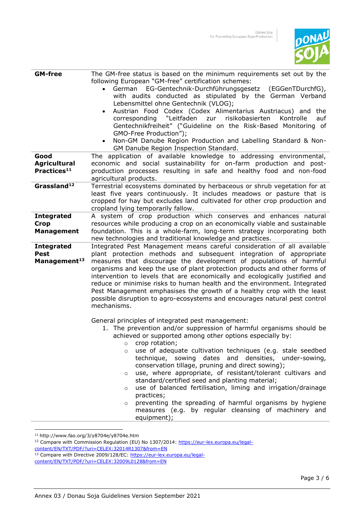

| <b>GM-free</b>                                               | The GM-free status is based on the minimum requirements set out by the<br>following European "GM-free" certification schemes:<br>EG-Gentechnik-Durchführungsgesetz<br>(EGGenTDurchfG),<br>German<br>$\bullet$<br>with audits conducted as stipulated by the German Verband<br>Lebensmittel ohne Gentechnik (VLOG);<br>Austrian Food Codex (Codex Alimentarius Austriacus) and<br>the<br>$\bullet$<br>corresponding "Leitfaden<br>risikobasierten<br>zur<br>Kontrolle<br>auf<br>Gentechnikfreiheit" ("Guideline on the Risk-Based Monitoring of<br>GMO-Free Production");<br>Non-GM Danube Region Production and Labelling Standard & Non-<br>$\bullet$<br>GM Danube Region Inspection Standard.                                                                                                                                                                                                                                   |
|--------------------------------------------------------------|-----------------------------------------------------------------------------------------------------------------------------------------------------------------------------------------------------------------------------------------------------------------------------------------------------------------------------------------------------------------------------------------------------------------------------------------------------------------------------------------------------------------------------------------------------------------------------------------------------------------------------------------------------------------------------------------------------------------------------------------------------------------------------------------------------------------------------------------------------------------------------------------------------------------------------------|
| Good<br><b>Agricultural</b><br>Practices <sup>11</sup>       | The application of available knowledge to addressing environmental,<br>economic and social sustainability for on-farm production and post-<br>production processes resulting in safe and healthy food and non-food<br>agricultural products.                                                                                                                                                                                                                                                                                                                                                                                                                                                                                                                                                                                                                                                                                      |
| Grassland <sup>12</sup>                                      | Terrestrial ecosystems dominated by herbaceous or shrub vegetation for at<br>least five years continuously. It includes meadows or pasture that is<br>cropped for hay but excludes land cultivated for other crop production and<br>cropland lying temporarily fallow.                                                                                                                                                                                                                                                                                                                                                                                                                                                                                                                                                                                                                                                            |
| <b>Integrated</b><br><b>Crop</b><br><b>Management</b>        | A system of crop production which conserves and enhances natural<br>resources while producing a crop on an economically viable and sustainable<br>foundation. This is a whole-farm, long-term strategy incorporating both<br>new technologies and traditional knowledge and practices.                                                                                                                                                                                                                                                                                                                                                                                                                                                                                                                                                                                                                                            |
| <b>Integrated</b><br><b>Pest</b><br>Management <sup>13</sup> | Integrated Pest Management means careful consideration of all available<br>plant protection methods and subsequent integration of appropriate<br>measures that discourage the development of populations of harmful<br>organisms and keep the use of plant protection products and other forms of<br>intervention to levels that are economically and ecologically justified and<br>reduce or minimise risks to human health and the environment. Integrated<br>Pest Management emphasises the growth of a healthy crop with the least<br>possible disruption to agro-ecosystems and encourages natural pest control<br>mechanisms.<br>General principles of integrated pest management:<br>1. The prevention and/or suppression of harmful organisms should be<br>achieved or supported among other options especially by:<br>crop rotation;<br>$\circ$<br>use of adequate cultivation techniques (e.g. stale seedbed<br>$\circ$ |
|                                                              | technique, sowing dates and densities, under-sowing,<br>conservation tillage, pruning and direct sowing);<br>use, where appropriate, of resistant/tolerant cultivars and<br>$\circ$<br>standard/certified seed and planting material;<br>use of balanced fertilisation, liming and irrigation/drainage<br>$\circ$<br>practices;<br>preventing the spreading of harmful organisms by hygiene<br>$\circ$<br>measures (e.g. by regular cleansing of machinery and<br>equipment);                                                                                                                                                                                                                                                                                                                                                                                                                                                     |

<sup>11</sup> http://www.fao.org/3/y8704e/y8704e.htm

<sup>12</sup> Compare with Commission Regulation (EU) No 1307/2014[: https://eur-lex.europa.eu/legal](https://eur-lex.europa.eu/legal-content/EN/TXT/PDF/?uri=CELEX:32014R1307&from=EN)[content/EN/TXT/PDF/?uri=CELEX:32014R1307&from=EN](https://eur-lex.europa.eu/legal-content/EN/TXT/PDF/?uri=CELEX:32014R1307&from=EN)

<sup>13</sup> Compare with Directive 2009/128/EC: [https://eur-lex.europa.eu/legal-](https://eur-lex.europa.eu/legal-content/EN/TXT/PDF/?uri=CELEX:32009L0128&from=DE)

[content/EN/TXT/PDF/?uri=CELEX:32009L0128&from=EN](https://eur-lex.europa.eu/legal-content/EN/TXT/PDF/?uri=CELEX:32009L0128&from=DE)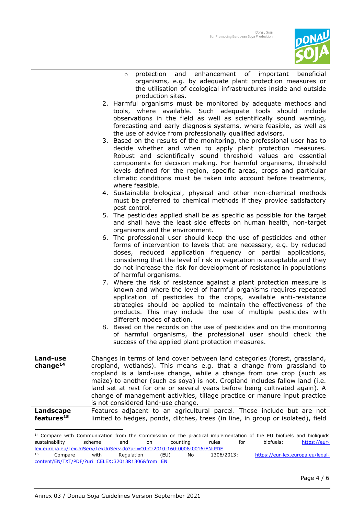

- o protection and enhancement of important beneficial organisms, e.g. by adequate plant protection measures or the utilisation of ecological infrastructures inside and outside production sites.
- 2. Harmful organisms must be monitored by adequate methods and tools, where available. Such adequate tools should include observations in the field as well as scientifically sound warning, forecasting and early diagnosis systems, where feasible, as well as the use of advice from professionally qualified advisors.
- 3. Based on the results of the monitoring, the professional user has to decide whether and when to apply plant protection measures. Robust and scientifically sound threshold values are essential components for decision making. For harmful organisms, threshold levels defined for the region, specific areas, crops and particular climatic conditions must be taken into account before treatments, where feasible.
- 4. Sustainable biological, physical and other non-chemical methods must be preferred to chemical methods if they provide satisfactory pest control.
- 5. The pesticides applied shall be as specific as possible for the target and shall have the least side effects on human health, non-target organisms and the environment.
- 6. The professional user should keep the use of pesticides and other forms of intervention to levels that are necessary, e.g. by reduced doses, reduced application frequency or partial applications, considering that the level of risk in vegetation is acceptable and they do not increase the risk for development of resistance in populations of harmful organisms.
- 7. Where the risk of resistance against a plant protection measure is known and where the level of harmful organisms requires repeated application of pesticides to the crops, available anti-resistance strategies should be applied to maintain the effectiveness of the products. This may include the use of multiple pesticides with different modes of action.
- 8. Based on the records on the use of pesticides and on the monitoring of harmful organisms, the professional user should check the success of the applied plant protection measures.

| Land-use<br>change $14$ | Changes in terms of land cover between land categories (forest, grassland,<br>cropland, wetlands). This means e.g. that a change from grassland to<br>cropland is a land-use change, while a change from one crop (such as<br>maize) to another (such as soya) is not. Cropland includes fallow land (i.e.<br>land set at rest for one or several years before being cultivated again). A<br>change of management activities, tillage practice or manure input practice<br>is not considered land-use change. |
|-------------------------|---------------------------------------------------------------------------------------------------------------------------------------------------------------------------------------------------------------------------------------------------------------------------------------------------------------------------------------------------------------------------------------------------------------------------------------------------------------------------------------------------------------|
| Landscape               | Features adjacent to an agricultural parcel. These include but are not                                                                                                                                                                                                                                                                                                                                                                                                                                        |
| features <sup>15</sup>  | limited to hedges, ponds, ditches, trees (in line, in group or isolated), field                                                                                                                                                                                                                                                                                                                                                                                                                               |

<sup>14</sup> Compare with Communication from the Commission on the practical implementation of the EU biofuels and bioliquids sustainability scheme and on counting rules for biofuels: <u>https://eur-</u> [lex.europa.eu/LexUriServ/LexUriServ.do?uri=OJ:C:2010:160:0008:0016:EN:PDF](https://eur-lex.europa.eu/LexUriServ/LexUriServ.do?uri=OJ:C:2010:160:0008:0016:EN:PDF) <sup>15</sup> Compare with Regulation (EU) No 1306/2013: https://eur-lex.europa.eu/legalcontent/EN/TXT/PDF/?uri=CELEX:32013R1306&from=EN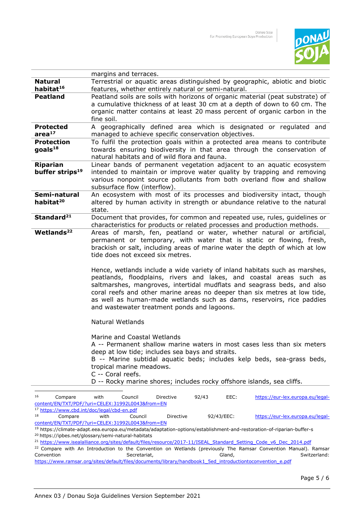

|                                                        | margins and terraces.                                                                                           |  |
|--------------------------------------------------------|-----------------------------------------------------------------------------------------------------------------|--|
| <b>Natural</b>                                         | Terrestrial or aquatic areas distinguished by geographic, abiotic and biotic                                    |  |
| habitat <sup>16</sup>                                  | features, whether entirely natural or semi-natural.                                                             |  |
| <b>Peatland</b>                                        | Peatland soils are soils with horizons of organic material (peat substrate) of                                  |  |
|                                                        | a cumulative thickness of at least 30 cm at a depth of down to 60 cm. The                                       |  |
|                                                        | organic matter contains at least 20 mass percent of organic carbon in the                                       |  |
|                                                        | fine soil.                                                                                                      |  |
| <b>Protected</b>                                       | A geographically defined area which is designated or regulated and                                              |  |
| area <sup>17</sup>                                     | managed to achieve specific conservation objectives.                                                            |  |
| <b>Protection</b>                                      | To fulfil the protection goals within a protected area means to contribute                                      |  |
| goals <sup>18</sup>                                    | towards ensuring biodiversity in that area through the conservation of                                          |  |
|                                                        | natural habitats and of wild flora and fauna.                                                                   |  |
| <b>Riparian</b>                                        | Linear bands of permanent vegetation adjacent to an aquatic ecosystem                                           |  |
| buffer strips <sup>19</sup>                            | intended to maintain or improve water quality by trapping and removing                                          |  |
|                                                        | various nonpoint source pollutants from both overland flow and shallow                                          |  |
|                                                        | subsurface flow (interflow).                                                                                    |  |
| Semi-natural                                           | An ecosystem with most of its processes and biodiversity intact, though                                         |  |
| habitat <sup>20</sup>                                  | altered by human activity in strength or abundance relative to the natural                                      |  |
|                                                        | state.                                                                                                          |  |
| Standard <sup>21</sup>                                 | Document that provides, for common and repeated use, rules, guidelines or                                       |  |
|                                                        | characteristics for products or related processes and production methods.                                       |  |
| Wetlands <sup>22</sup>                                 | Areas of marsh, fen, peatland or water, whether natural or artificial,                                          |  |
|                                                        | permanent or temporary, with water that is static or flowing, fresh,                                            |  |
|                                                        | brackish or salt, including areas of marine water the depth of which at low<br>tide does not exceed six metres. |  |
|                                                        |                                                                                                                 |  |
|                                                        | Hence, wetlands include a wide variety of inland habitats such as marshes,                                      |  |
|                                                        | peatlands, floodplains, rivers and lakes, and coastal areas such as                                             |  |
|                                                        | saltmarshes, mangroves, intertidal mudflats and seagrass beds, and also                                         |  |
|                                                        | coral reefs and other marine areas no deeper than six metres at low tide,                                       |  |
|                                                        | as well as human-made wetlands such as dams, reservoirs, rice paddies                                           |  |
|                                                        | and wastewater treatment ponds and lagoons.                                                                     |  |
|                                                        |                                                                                                                 |  |
|                                                        | <b>Natural Wetlands</b>                                                                                         |  |
|                                                        |                                                                                                                 |  |
|                                                        | Marine and Coastal Wetlands                                                                                     |  |
|                                                        | A -- Permanent shallow marine waters in most cases less than six meters                                         |  |
|                                                        | deep at low tide; includes sea bays and straits.                                                                |  |
|                                                        | B -- Marine subtidal aquatic beds; includes kelp beds, sea-grass beds,                                          |  |
|                                                        | tropical marine meadows.                                                                                        |  |
|                                                        | C -- Coral reefs.                                                                                               |  |
|                                                        | D -- Rocky marine shores; includes rocky offshore islands, sea cliffs.                                          |  |
|                                                        |                                                                                                                 |  |
| 16<br>Compare                                          | https://eur-lex.europa.eu/legal-<br>with<br>Council<br>Directive<br>92/43<br>EEC:                               |  |
|                                                        | content/EN/TXT/PDF/?uri=CELEX:31992L0043&from=EN                                                                |  |
| <sup>17</sup> https://www.cbd.int/doc/legal/cbd-en.pdf |                                                                                                                 |  |

<sup>18</sup> Compare with Council Directive 92/43/EEC: <u>https://eur-lex.europa.eu/legal-</u> [content/EN/TXT/PDF/?uri=CELEX:31992L0043&from=EN](https://eur-lex.europa.eu/legal-content/EN/TXT/PDF/?uri=CELEX:31992L0043&from=DE)

<sup>19</sup> https://climate-adapt.eea.europa.eu/metadata/adaptation-options/establishment-and-restoration-of-riparian-buffer-s <sup>20</sup> https://ipbes.net/glossary/semi-natural-habitats

<sup>&</sup>lt;sup>21</sup> https://www.isealalliance.org/sites/default/files/resource/2017-11/ISEAL\_Standard\_Setting\_Code\_v6\_Dec\_2014.pdf

<sup>&</sup>lt;sup>22</sup> Compare with An Introduction to the Convention on Wetlands (previously The Ramsar Convention Manual). Ramsar<br>Convention Secretariat, Gland, Switzerland: Convention Secretariat, Secretariat, Secretariat, Switzerland: Switzerland: Switzerland: Switzerland: Switzerland: Switzerland: Switzerland: Switzerland: Switzerland: Switzerland: Switzerland: Switzerland: Switzerland: Swi [https://www.ramsar.org/sites/default/files/documents/library/handbook1\\_5ed\\_introductiontoconvention\\_e.pdf](https://www.ramsar.org/sites/default/files/documents/library/handbook1_5ed_introductiontoconvention_e.pdf)